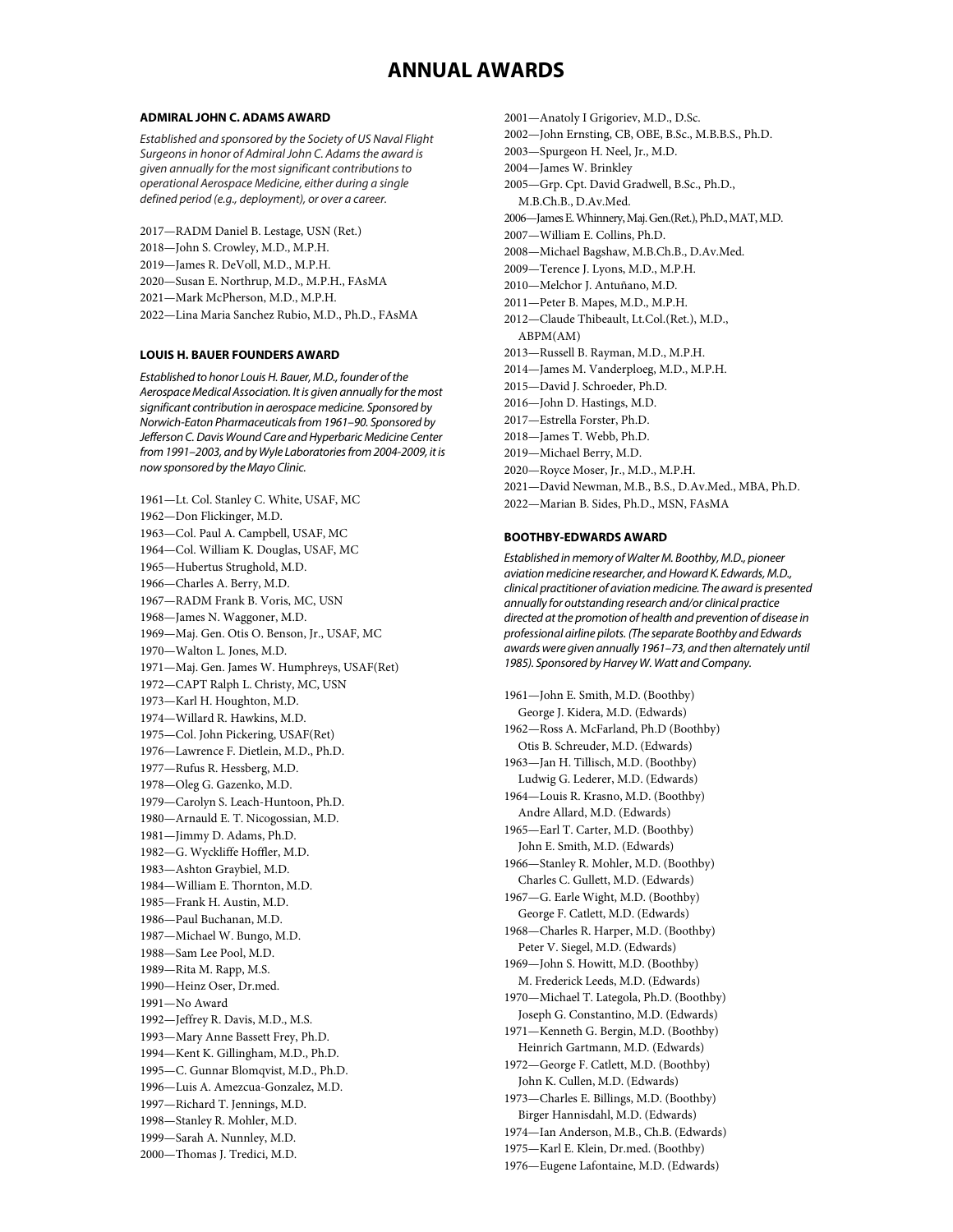# **ANNUAL AWARDS**

#### **ADMIRAL JOHN C. ADAMS AWARD**

*Established and sponsored by the Society of US Naval Flight Surgeons in honor of Admiral John C. Adams the award is given annually for the most significant contributions to operational Aerospace Medicine, either during a single defined period (e.g., deployment), or over a career.*

2017—RADM Daniel B. Lestage, USN (Ret.) 2018—John S. Crowley, M.D., M.P.H. 2019—James R. DeVoll, M.D., M.P.H. 2020—Susan E. Northrup, M.D., M.P.H., FAsMA 2021—Mark McPherson, M.D., M.P.H. 2022—Lina Maria Sanchez Rubio, M.D., Ph.D., FAsMA

### **LOUIS H. BAUER FOUNDERS AWARD**

*Established to honor Louis H. Bauer, M.D., founder of the Aerospace Medical Association. It is given annually for the most significant contribution in aerospace medicine. Sponsored by Norwich-Eaton Pharmaceuticals from 1961–90. Sponsored by Jefferson C. Davis Wound Care and Hyperbaric Medicine Center from 1991–2003, and by Wyle Laboratoriesfrom 2004-2009, it is now sponsored by the Mayo Clinic.*

1961—Lt. Col. Stanley C. White, USAF, MC 1962—Don Flickinger, M.D. 1963—Col. Paul A. Campbell, USAF, MC 1964—Col. William K. Douglas, USAF, MC 1965—Hubertus Strughold, M.D. 1966—Charles A. Berry, M.D. 1967—RADM Frank B. Voris, MC, USN 1968—James N. Waggoner, M.D. 1969—Maj. Gen. Otis O. Benson, Jr., USAF, MC 1970—Walton L. Jones, M.D. 1971—Maj. Gen. James W. Humphreys, USAF(Ret) 1972—CAPT Ralph L. Christy, MC, USN 1973—Karl H. Houghton, M.D. 1974—Willard R. Hawkins, M.D. 1975—Col. John Pickering, USAF(Ret) 1976—Lawrence F. Dietlein, M.D., Ph.D. 1977—Rufus R. Hessberg, M.D. 1978—Oleg G. Gazenko, M.D. 1979—Carolyn S. Leach-Huntoon, Ph.D. 1980—Arnauld E. T. Nicogossian, M.D. 1981—Jimmy D. Adams, Ph.D. 1982—G. Wyckliffe Hoffler, M.D. 1983—Ashton Graybiel, M.D. 1984—William E. Thornton, M.D. 1985—Frank H. Austin, M.D. 1986—Paul Buchanan, M.D. 1987—Michael W. Bungo, M.D. 1988—Sam Lee Pool, M.D. 1989—Rita M. Rapp, M.S. 1990—Heinz Oser, Dr.med. 1991—No Award 1992—Jeffrey R. Davis, M.D., M.S. 1993—Mary Anne Bassett Frey, Ph.D. 1994—Kent K. Gillingham, M.D., Ph.D. 1995—C. Gunnar Blomqvist, M.D., Ph.D. 1996—Luis A. Amezcua-Gonzalez, M.D. 1997—Richard T. Jennings, M.D. 1998—Stanley R. Mohler, M.D. 1999—Sarah A. Nunnley, M.D. 2000—Thomas J. Tredici, M.D.

2001—Anatoly I Grigoriev, M.D., D.Sc. 2002—John Ernsting, CB, OBE, B.Sc., M.B.B.S., Ph.D. 2003—Spurgeon H. Neel, Jr., M.D. 2004—James W. Brinkley 2005—Grp. Cpt. David Gradwell, B.Sc., Ph.D., M.B.Ch.B., D.Av.Med. 2006—James E. Whinnery, Maj. Gen.(Ret.), Ph.D., MAT, M.D. 2007—William E. Collins, Ph.D. 2008—Michael Bagshaw, M.B.Ch.B., D.Av.Med. 2009—Terence J. Lyons, M.D., M.P.H. 2010—Melchor J. Antuñano, M.D. 2011—Peter B. Mapes, M.D., M.P.H. 2012—Claude Thibeault, Lt.Col.(Ret.), M.D., ABPM(AM) 2013—Russell B. Rayman, M.D., M.P.H. 2014—James M. Vanderploeg, M.D., M.P.H. 2015—David J. Schroeder, Ph.D. 2016—John D. Hastings, M.D. 2017—Estrella Forster, Ph.D. 2018—James T. Webb, Ph.D. 2019—Michael Berry, M.D. 2020—Royce Moser, Jr., M.D., M.P.H. 2021—David Newman, M.B., B.S., D.Av.Med., MBA, Ph.D. 2022—Marian B. Sides, Ph.D., MSN, FAsMA

#### **BOOTHBY-EDWARDS AWARD**

*Established in memory of Walter M. Boothby, M.D., pioneer aviation medicine researcher, and Howard K. Edwards, M.D., clinical practitioner of aviation medicine. The award is presented annually for outstanding research and/or clinical practice directed at the promotion of health and prevention of disease in professional airline pilots. (The separate Boothby and Edwards awards were given annually 1961–73, and then alternately until 1985). Sponsored by Harvey W. Watt and Company.*

1961—John E. Smith, M.D. (Boothby) George J. Kidera, M.D. (Edwards) 1962—Ross A. McFarland, Ph.D (Boothby) Otis B. Schreuder, M.D. (Edwards) 1963—Jan H. Tillisch, M.D. (Boothby) Ludwig G. Lederer, M.D. (Edwards) 1964—Louis R. Krasno, M.D. (Boothby) Andre Allard, M.D. (Edwards) 1965—Earl T. Carter, M.D. (Boothby) John E. Smith, M.D. (Edwards) 1966—Stanley R. Mohler, M.D. (Boothby) Charles C. Gullett, M.D. (Edwards) 1967—G. Earle Wight, M.D. (Boothby) George F. Catlett, M.D. (Edwards) 1968—Charles R. Harper, M.D. (Boothby) Peter V. Siegel, M.D. (Edwards) 1969—John S. Howitt, M.D. (Boothby) M. Frederick Leeds, M.D. (Edwards) 1970—Michael T. Lategola, Ph.D. (Boothby) Joseph G. Constantino, M.D. (Edwards) 1971—Kenneth G. Bergin, M.D. (Boothby) Heinrich Gartmann, M.D. (Edwards) 1972—George F. Catlett, M.D. (Boothby) John K. Cullen, M.D. (Edwards) 1973—Charles E. Billings, M.D. (Boothby) Birger Hannisdahl, M.D. (Edwards) 1974—Ian Anderson, M.B., Ch.B. (Edwards) 1975—Karl E. Klein, Dr.med. (Boothby) 1976—Eugene Lafontaine, M.D. (Edwards)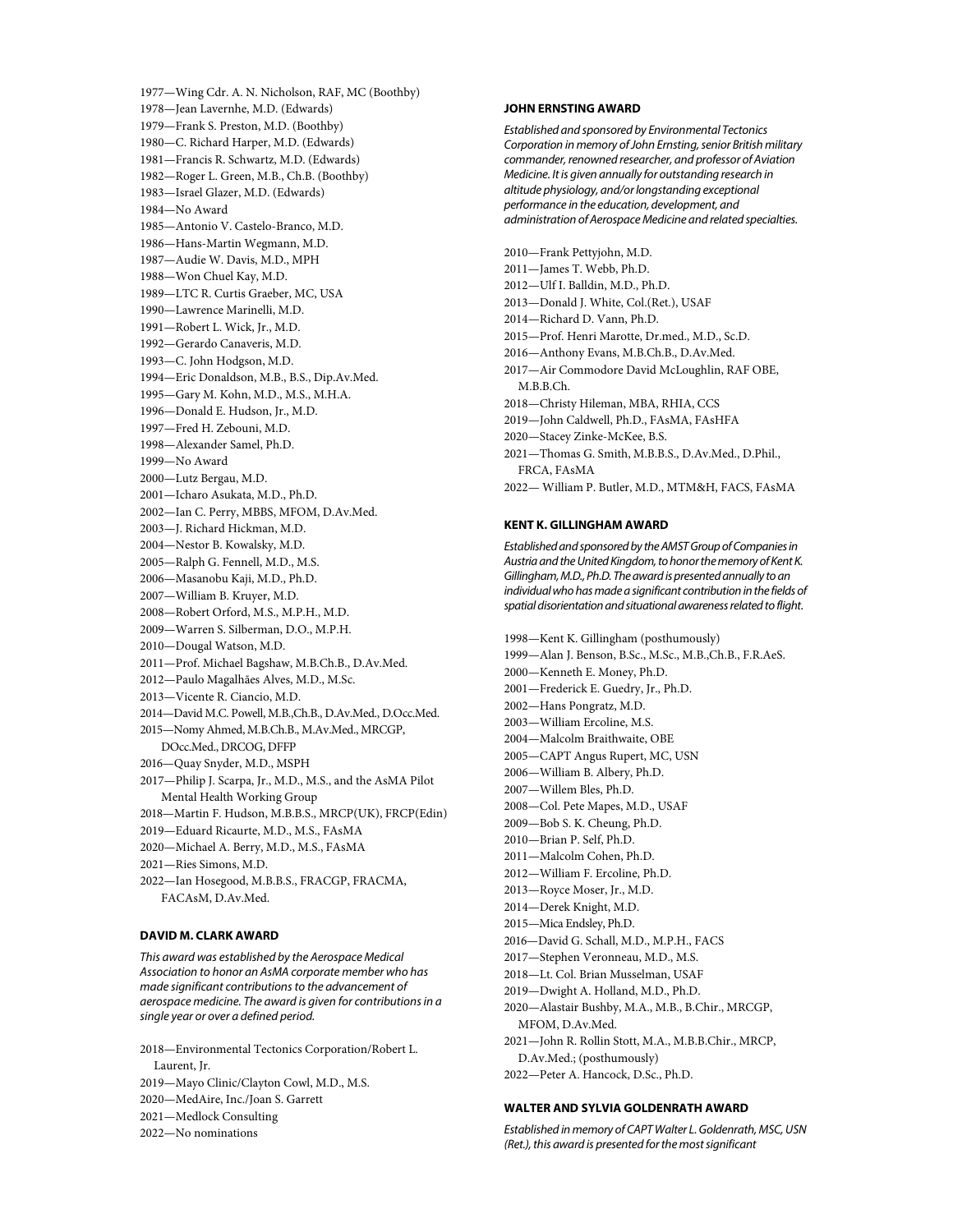1977—Wing Cdr. A. N. Nicholson, RAF, MC (Boothby) 1978—Jean Lavernhe, M.D. (Edwards) 1979—Frank S. Preston, M.D. (Boothby) 1980—C. Richard Harper, M.D. (Edwards) 1981—Francis R. Schwartz, M.D. (Edwards) 1982—Roger L. Green, M.B., Ch.B. (Boothby) 1983—Israel Glazer, M.D. (Edwards) 1984—No Award 1985—Antonio V. Castelo-Branco, M.D. 1986—Hans-Martin Wegmann, M.D. 1987—Audie W. Davis, M.D., MPH 1988—Won Chuel Kay, M.D. 1989—LTC R. Curtis Graeber, MC, USA 1990—Lawrence Marinelli, M.D. 1991—Robert L. Wick, Jr., M.D. 1992—Gerardo Canaveris, M.D. 1993—C. John Hodgson, M.D. 1994—Eric Donaldson, M.B., B.S., Dip.Av.Med. 1995—Gary M. Kohn, M.D., M.S., M.H.A. 1996—Donald E. Hudson, Jr., M.D. 1997—Fred H. Zebouni, M.D. 1998—Alexander Samel, Ph.D. 1999—No Award 2000—Lutz Bergau, M.D. 2001—Icharo Asukata, M.D., Ph.D. 2002—Ian C. Perry, MBBS, MFOM, D.Av.Med. 2003—J. Richard Hickman, M.D. 2004—Nestor B. Kowalsky, M.D. 2005—Ralph G. Fennell, M.D., M.S. 2006—Masanobu Kaji, M.D., Ph.D. 2007—William B. Kruyer, M.D. 2008—Robert Orford, M.S., M.P.H., M.D. 2009—Warren S. Silberman, D.O., M.P.H. 2010—Dougal Watson, M.D. 2011—Prof. Michael Bagshaw, M.B.Ch.B., D.Av.Med. 2012—Paulo Magalhães Alves, M.D., M.Sc. 2013—Vicente R. Ciancio, M.D. 2014—David M.C. Powell, M.B.,Ch.B., D.Av.Med., D.Occ.Med. 2015—Nomy Ahmed, M.B.Ch.B., M.Av.Med., MRCGP, DOcc.Med., DRCOG, DFFP 2016—Quay Snyder, M.D., MSPH 2017—Philip J. Scarpa, Jr., M.D., M.S., and the AsMA Pilot Mental Health Working Group 2018—Martin F. Hudson, M.B.B.S., MRCP(UK), FRCP(Edin) 2019—Eduard Ricaurte, M.D., M.S., FAsMA 2020—Michael A. Berry, M.D., M.S., FAsMA 2021—Ries Simons, M.D. 2022—Ian Hosegood, M.B.B.S., FRACGP, FRACMA, FACAsM, D.Av.Med.

## **DAVID M. CLARK AWARD**

*This award was established by the Aerospace Medical Association to honor an AsMA corporate member who has made significant contributions to the advancement of aerospace medicine. The award is given for contributions in a single year or over a defined period.*

2018—Environmental Tectonics Corporation/Robert L. Laurent, Jr.

- 2019—Mayo Clinic/Clayton Cowl, M.D., M.S.
- 2020—MedAire, Inc./Joan S. Garrett
- 2021—Medlock Consulting
- 2022—No nominations

#### **JOHN ERNSTING AWARD**

*Established and sponsored by Environmental Tectonics Corporation in memory of John Ernsting, senior British military commander, renowned researcher, and professor of Aviation Medicine. It is given annually for outstanding research in altitude physiology, and/or longstanding exceptional performance in the education, development, and administration of Aerospace Medicine and related specialties.*

2010—Frank Pettyjohn, M.D. 2011—James T. Webb, Ph.D. 2012—Ulf I. Balldin, M.D., Ph.D. 2013—Donald J. White, Col.(Ret.), USAF 2014—Richard D. Vann, Ph.D. 2015—Prof. Henri Marotte, Dr.med., M.D., Sc.D. 2016—Anthony Evans, M.B.Ch.B., D.Av.Med. 2017—Air Commodore David McLoughlin, RAF OBE, M.B.B.Ch. 2018—Christy Hileman, MBA, RHIA, CCS 2019—John Caldwell, Ph.D., FAsMA, FAsHFA 2020—Stacey Zinke-McKee, B.S. 2021—Thomas G. Smith, M.B.B.S., D.Av.Med., D.Phil., FRCA, FAsMA 2022— William P. Butler, M.D., MTM&H, FACS, FAsMA

#### **KENT K. GILLINGHAM AWARD**

*Established and sponsored by the AMST Group of Companies in Austria and the United Kingdom, to honor the memory of Kent K. Gillingham, M.D., Ph.D. The award is presented annually to an individual who has made a significant contribution in the fields of spatial disorientation and situational awareness related to flight.*

1998—Kent K. Gillingham (posthumously) 1999—Alan J. Benson, B.Sc., M.Sc., M.B.,Ch.B., F.R.AeS. 2000—Kenneth E. Money, Ph.D. 2001—Frederick E. Guedry, Jr., Ph.D. 2002—Hans Pongratz, M.D. 2003—William Ercoline, M.S. 2004—Malcolm Braithwaite, OBE 2005—CAPT Angus Rupert, MC, USN 2006—William B. Albery, Ph.D. 2007—Willem Bles, Ph.D. 2008—Col. Pete Mapes, M.D., USAF 2009—Bob S. K. Cheung, Ph.D. 2010—Brian P. Self, Ph.D. 2011—Malcolm Cohen, Ph.D. 2012—William F. Ercoline, Ph.D. 2013—Royce Moser, Jr., M.D. 2014—Derek Knight, M.D. 2015—Mica Endsley, Ph.D. 2016—David G. Schall, M.D., M.P.H., FACS 2017—Stephen Veronneau, M.D., M.S. 2018—Lt. Col. Brian Musselman, USAF 2019—Dwight A. Holland, M.D., Ph.D. 2020—Alastair Bushby, M.A., M.B., B.Chir., MRCGP, MFOM, D.Av.Med. 2021—John R. Rollin Stott, M.A., M.B.B.Chir., MRCP, D.Av.Med.; (posthumously) 2022—Peter A. Hancock, D.Sc., Ph.D.

## **WALTER AND SYLVIA GOLDENRATH AWARD**

*Established in memory of CAPT Walter L. Goldenrath, MSC, USN (Ret.), this award is presented for the most significant*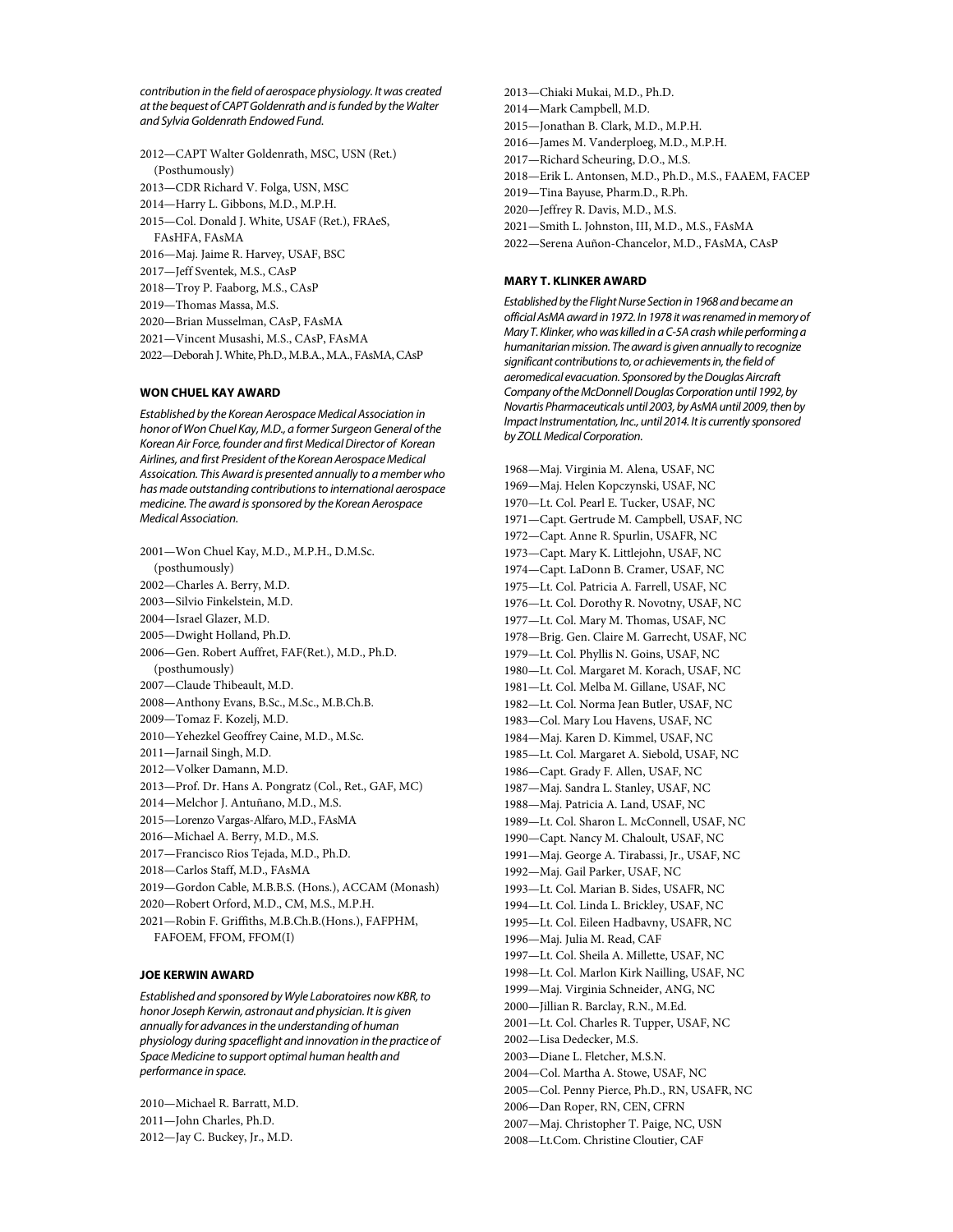*contribution in the field of aerospace physiology. It was created at the bequest of CAPT Goldenrath and is funded by the Walter and Sylvia Goldenrath Endowed Fund.*

2012—CAPT Walter Goldenrath, MSC, USN (Ret.) (Posthumously) 2013—CDR Richard V. Folga, USN, MSC 2014—Harry L. Gibbons, M.D., M.P.H. 2015—Col. Donald J. White, USAF (Ret.), FRAeS, FAsHFA, FAsMA 2016—Maj. Jaime R. Harvey, USAF, BSC 2017—Jeff Sventek, M.S., CAsP 2018—Troy P. Faaborg, M.S., CAsP 2019—Thomas Massa, M.S. 2020—Brian Musselman, CAsP, FAsMA 2021—Vincent Musashi, M.S., CAsP, FAsMA 2022—Deborah J. White, Ph.D., M.B.A., M.A., FAsMA, CAsP

#### **WON CHUEL KAY AWARD**

*Established by the Korean Aerospace Medical Association in honor of Won Chuel Kay, M.D., a former Surgeon General of the Korean Air Force, founder and first Medical Director of Korean Airlines, and first President of the Korean Aerospace Medical Assoication. This Award is presented annually to a member who has made outstanding contributions to international aerospace medicine. The award is sponsored by the Korean Aerospace Medical Association.*

2001—Won Chuel Kay, M.D., M.P.H., D.M.Sc. (posthumously) 2002—Charles A. Berry, M.D. 2003—Silvio Finkelstein, M.D. 2004—Israel Glazer, M.D. 2005—Dwight Holland, Ph.D. 2006—Gen. Robert Auffret, FAF(Ret.), M.D., Ph.D. (posthumously) 2007—Claude Thibeault, M.D. 2008—Anthony Evans, B.Sc., M.Sc., M.B.Ch.B. 2009—Tomaz F. Kozelj, M.D. 2010—Yehezkel Geoffrey Caine, M.D., M.Sc. 2011—Jarnail Singh, M.D. 2012—Volker Damann, M.D. 2013—Prof. Dr. Hans A. Pongratz (Col., Ret., GAF, MC) 2014—Melchor J. Antuñano, M.D., M.S. 2015—Lorenzo Vargas-Alfaro, M.D., FAsMA 2016—Michael A. Berry, M.D., M.S. 2017—Francisco Rios Tejada, M.D., Ph.D. 2018—Carlos Staff, M.D., FAsMA 2019—Gordon Cable, M.B.B.S. (Hons.), ACCAM (Monash) 2020—Robert Orford, M.D., CM, M.S., M.P.H. 2021—Robin F. Griffiths, M.B.Ch.B.(Hons.), FAFPHM, FAFOEM, FFOM, FFOM(I)

## **JOE KERWIN AWARD**

*Established and sponsored by Wyle Laboratoires now KBR,to honor Joseph Kerwin, astronaut and physician. It is given annually for advances in the understanding of human physiology during spaceflight and innovation in the practice of Space Medicine to support optimal human health and performance in space.* 

2010—Michael R. Barratt, M.D. 2011—John Charles, Ph.D. 2012—Jay C. Buckey, Jr., M.D.

2013—Chiaki Mukai, M.D., Ph.D. 2014—Mark Campbell, M.D. 2015—Jonathan B. Clark, M.D., M.P.H. 2016—James M. Vanderploeg, M.D., M.P.H. 2017—Richard Scheuring, D.O., M.S. 2018—Erik L. Antonsen, M.D., Ph.D., M.S., FAAEM, FACEP 2019—Tina Bayuse, Pharm.D., R.Ph. 2020—Jeffrey R. Davis, M.D., M.S. 2021—Smith L. Johnston, III, M.D., M.S., FAsMA 2022—Serena Auñon-Chancelor, M.D., FAsMA, CAsP

### **MARY T. KLINKER AWARD**

*Established by the Flight Nurse Section in 1968 and became an official AsMA award in 1972. In 1978 it was renamed in memory of Mary T. Klinker, who was killed in a C-5A crash while performing a humanitarian mission. The award is given annually to recognize significant contributions to, or achievements in, the field of aeromedical evacuation. Sponsored by the Douglas Aircraft Company of the McDonnell Douglas Corporation until 1992, by Novartis Pharmaceuticals until 2003, by AsMAuntil 2009, then by Impact Instrumentation, Inc., until 2014. It is currently sponsored by ZOLL Medical Corporation.*

1968—Maj. Virginia M. Alena, USAF, NC 1969—Maj. Helen Kopczynski, USAF, NC 1970—Lt. Col. Pearl E. Tucker, USAF, NC 1971—Capt. Gertrude M. Campbell, USAF, NC 1972—Capt. Anne R. Spurlin, USAFR, NC 1973—Capt. Mary K. Littlejohn, USAF, NC 1974—Capt. LaDonn B. Cramer, USAF, NC 1975—Lt. Col. Patricia A. Farrell, USAF, NC 1976—Lt. Col. Dorothy R. Novotny, USAF, NC 1977—Lt. Col. Mary M. Thomas, USAF, NC 1978—Brig. Gen. Claire M. Garrecht, USAF, NC 1979—Lt. Col. Phyllis N. Goins, USAF, NC 1980—Lt. Col. Margaret M. Korach, USAF, NC 1981—Lt. Col. Melba M. Gillane, USAF, NC 1982—Lt. Col. Norma Jean Butler, USAF, NC 1983—Col. Mary Lou Havens, USAF, NC 1984—Maj. Karen D. Kimmel, USAF, NC 1985—Lt. Col. Margaret A. Siebold, USAF, NC 1986—Capt. Grady F. Allen, USAF, NC 1987—Maj. Sandra L. Stanley, USAF, NC 1988—Maj. Patricia A. Land, USAF, NC 1989—Lt. Col. Sharon L. McConnell, USAF, NC 1990—Capt. Nancy M. Chaloult, USAF, NC 1991—Maj. George A. Tirabassi, Jr., USAF, NC 1992—Maj. Gail Parker, USAF, NC 1993—Lt. Col. Marian B. Sides, USAFR, NC 1994—Lt. Col. Linda L. Brickley, USAF, NC 1995—Lt. Col. Eileen Hadbavny, USAFR, NC 1996—Maj. Julia M. Read, CAF 1997—Lt. Col. Sheila A. Millette, USAF, NC 1998—Lt. Col. Marlon Kirk Nailling, USAF, NC 1999—Maj. Virginia Schneider, ANG, NC 2000—Jillian R. Barclay, R.N., M.Ed. 2001—Lt. Col. Charles R. Tupper, USAF, NC 2002—Lisa Dedecker, M.S. 2003—Diane L. Fletcher, M.S.N. 2004—Col. Martha A. Stowe, USAF, NC 2005—Col. Penny Pierce, Ph.D., RN, USAFR, NC 2006—Dan Roper, RN, CEN, CFRN 2007—Maj. Christopher T. Paige, NC, USN

2008—Lt.Com. Christine Cloutier, CAF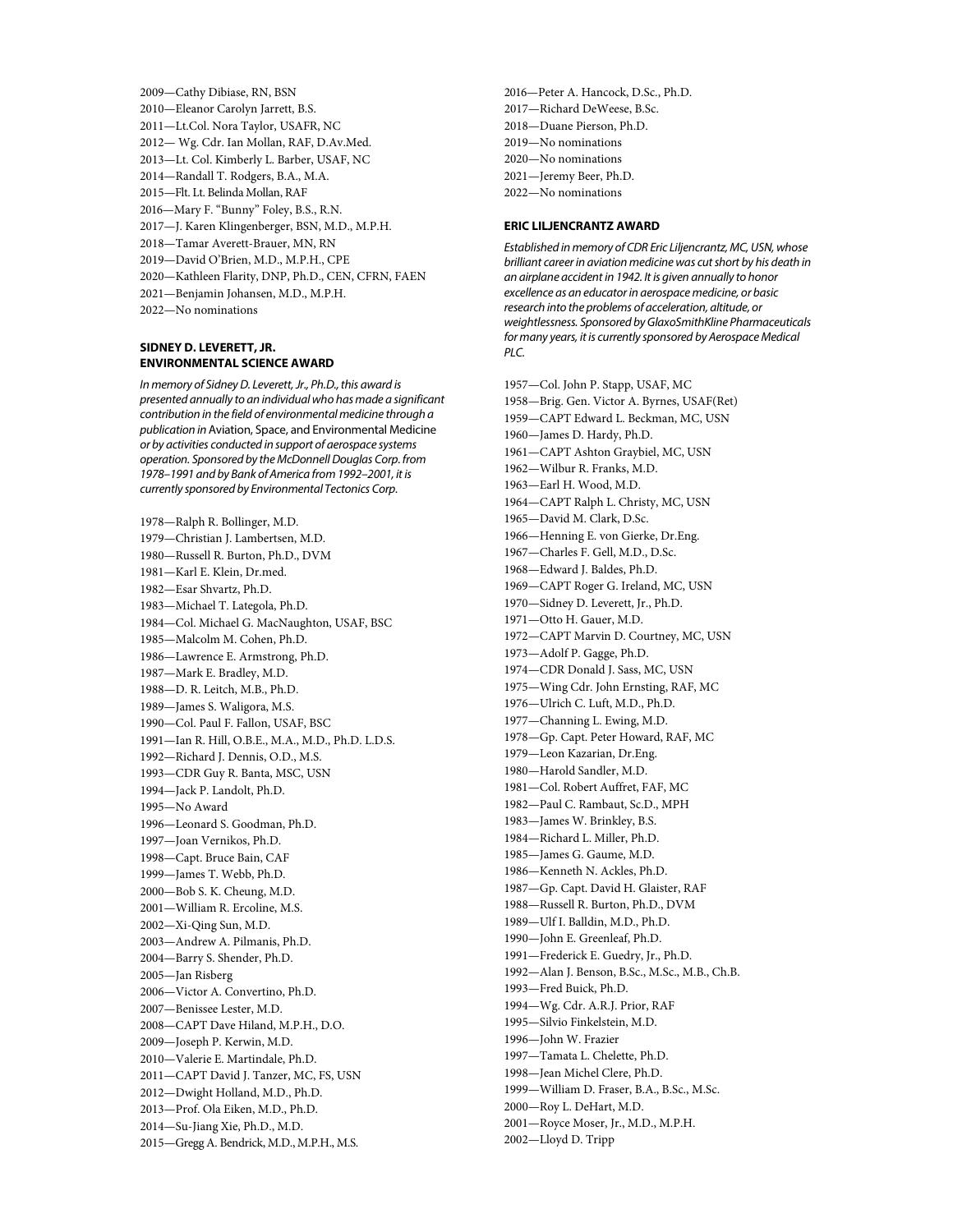2009—Cathy Dibiase, RN, BSN 2010—Eleanor Carolyn Jarrett, B.S. 2011—Lt.Col. Nora Taylor, USAFR, NC 2012— Wg. Cdr. Ian Mollan, RAF, D.Av.Med. 2013—Lt. Col. Kimberly L. Barber, USAF, NC 2014—Randall T. Rodgers, B.A., M.A. 2015—Flt. Lt. Belinda Mollan, RAF 2016—Mary F. "Bunny" Foley, B.S., R.N. 2017—J. Karen Klingenberger, BSN, M.D., M.P.H. 2018—Tamar Averett-Brauer, MN, RN 2019—David O'Brien, M.D., M.P.H., CPE 2020—Kathleen Flarity, DNP, Ph.D., CEN, CFRN, FAEN 2021—Benjamin Johansen, M.D., M.P.H.

2022—No nominations

### **SIDNEY D. LEVERETT, JR. ENVIRONMENTAL SCIENCE AWARD**

*In memory of Sidney D. Leverett, Jr., Ph.D., this award is presented annually to an individual who has made a significant contribution in the field of environmental medicine through a publication in* Aviation, Space, and Environmental Medicine *or by activities conducted in support of aerospace systems operation. Sponsored by the McDonnell Douglas Corp. from 1978–1991 and by Bank of America from 1992–2001, it is currently sponsored by Environmental Tectonics Corp.*

1978—Ralph R. Bollinger, M.D. 1979—Christian J. Lambertsen, M.D. 1980—Russell R. Burton, Ph.D., DVM 1981—Karl E. Klein, Dr.med. 1982—Esar Shvartz, Ph.D. 1983—Michael T. Lategola, Ph.D. 1984—Col. Michael G. MacNaughton, USAF, BSC 1985—Malcolm M. Cohen, Ph.D. 1986—Lawrence E. Armstrong, Ph.D. 1987—Mark E. Bradley, M.D. 1988—D. R. Leitch, M.B., Ph.D. 1989—James S. Waligora, M.S. 1990—Col. Paul F. Fallon, USAF, BSC 1991—Ian R. Hill, O.B.E., M.A., M.D., Ph.D. L.D.S. 1992—Richard J. Dennis, O.D., M.S. 1993—CDR Guy R. Banta, MSC, USN 1994—Jack P. Landolt, Ph.D. 1995—No Award 1996—Leonard S. Goodman, Ph.D. 1997—Joan Vernikos, Ph.D. 1998—Capt. Bruce Bain, CAF 1999—James T. Webb, Ph.D. 2000—Bob S. K. Cheung, M.D. 2001—William R. Ercoline, M.S. 2002—Xi-Qing Sun, M.D. 2003—Andrew A. Pilmanis, Ph.D. 2004—Barry S. Shender, Ph.D. 2005—Jan Risberg 2006—Victor A. Convertino, Ph.D. 2007—Benissee Lester, M.D. 2008—CAPT Dave Hiland, M.P.H., D.O. 2009—Joseph P. Kerwin, M.D. 2010—Valerie E. Martindale, Ph.D. 2011—CAPT David J. Tanzer, MC, FS, USN 2012—Dwight Holland, M.D., Ph.D. 2013—Prof. Ola Eiken, M.D., Ph.D. 2014—Su-Jiang Xie, Ph.D., M.D. 2015—Gregg A. Bendrick, M.D., M.P.H., M.S.

2016—Peter A. Hancock, D.Sc., Ph.D. 2017—Richard DeWeese, B.Sc. 2018—Duane Pierson, Ph.D. 2019—No nominations 2020—No nominations 2021—Jeremy Beer, Ph.D. 2022—No nominations

### **ERIC LILJENCRANTZ AWARD**

*Established in memory of CDR Eric Liljencrantz, MC, USN, whose brilliant career in aviation medicine was cut short by his death in an airplane accident in 1942. It is given annually to honor excellence as an educator in aerospace medicine, or basic research into the problems of acceleration, altitude, or weightlessness. Sponsored by GlaxoSmithKline Pharmaceuticals for many years, it is currently sponsored by Aerospace Medical PLC.*

1957—Col. John P. Stapp, USAF, MC 1958—Brig. Gen. Victor A. Byrnes, USAF(Ret) 1959—CAPT Edward L. Beckman, MC, USN 1960—James D. Hardy, Ph.D. 1961—CAPT Ashton Graybiel, MC, USN 1962—Wilbur R. Franks, M.D. 1963—Earl H. Wood, M.D. 1964—CAPT Ralph L. Christy, MC, USN 1965—David M. Clark, D.Sc. 1966—Henning E. von Gierke, Dr.Eng. 1967—Charles F. Gell, M.D., D.Sc. 1968—Edward J. Baldes, Ph.D. 1969—CAPT Roger G. Ireland, MC, USN 1970—Sidney D. Leverett, Jr., Ph.D. 1971—Otto H. Gauer, M.D. 1972—CAPT Marvin D. Courtney, MC, USN 1973—Adolf P. Gagge, Ph.D. 1974—CDR Donald J. Sass, MC, USN 1975—Wing Cdr. John Ernsting, RAF, MC 1976—Ulrich C. Luft, M.D., Ph.D. 1977—Channing L. Ewing, M.D. 1978—Gp. Capt. Peter Howard, RAF, MC 1979—Leon Kazarian, Dr.Eng. 1980—Harold Sandler, M.D. 1981—Col. Robert Auffret, FAF, MC 1982—Paul C. Rambaut, Sc.D., MPH 1983—James W. Brinkley, B.S. 1984—Richard L. Miller, Ph.D. 1985—James G. Gaume, M.D. 1986—Kenneth N. Ackles, Ph.D. 1987—Gp. Capt. David H. Glaister, RAF 1988—Russell R. Burton, Ph.D., DVM 1989—Ulf I. Balldin, M.D., Ph.D. 1990—John E. Greenleaf, Ph.D. 1991—Frederick E. Guedry, Jr., Ph.D. 1992—Alan J. Benson, B.Sc., M.Sc., M.B., Ch.B. 1993—Fred Buick, Ph.D. 1994—Wg. Cdr. A.R.J. Prior, RAF 1995—Silvio Finkelstein, M.D. 1996—John W. Frazier 1997—Tamata L. Chelette, Ph.D. 1998—Jean Michel Clere, Ph.D. 1999—William D. Fraser, B.A., B.Sc., M.Sc. 2000—Roy L. DeHart, M.D. 2001—Royce Moser, Jr., M.D., M.P.H. 2002—Lloyd D. Tripp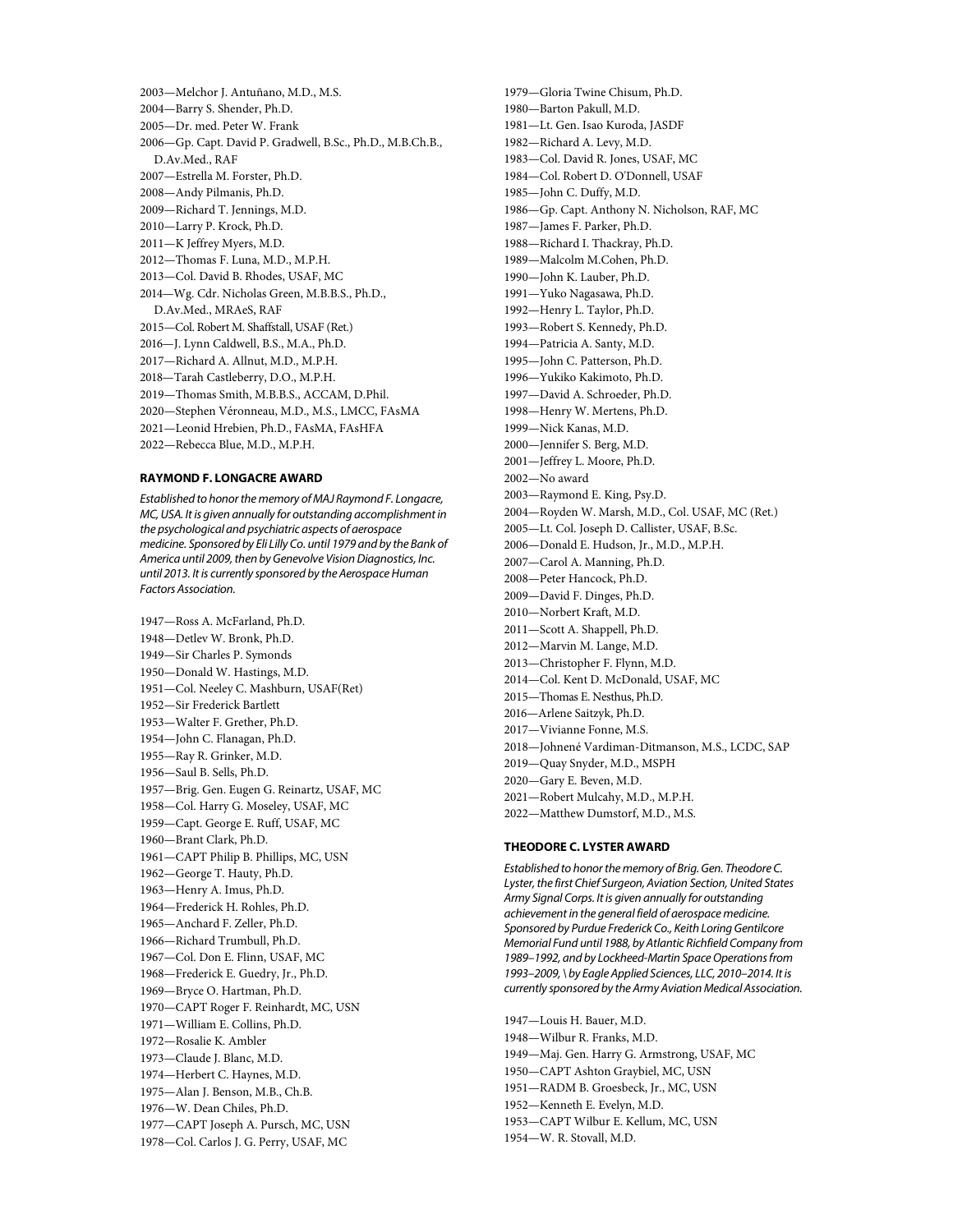2003—Melchor J. Antuñano, M.D., M.S. 2004—Barry S. Shender, Ph.D. 2005—Dr. med. Peter W. Frank 2006—Gp. Capt. David P. Gradwell, B.Sc., Ph.D., M.B.Ch.B., D.Av.Med., RAF 2007—Estrella M. Forster, Ph.D. 2008—Andy Pilmanis, Ph.D. 2009—Richard T. Jennings, M.D. 2010—Larry P. Krock, Ph.D. 2011—K Jeffrey Myers, M.D. 2012—Thomas F. Luna, M.D., M.P.H. 2013—Col. David B. Rhodes, USAF, MC 2014—Wg. Cdr. Nicholas Green, M.B.B.S., Ph.D., D.Av.Med., MRAeS, RAF 2015—Col. Robert M. Shaffstall, USAF (Ret.) 2016—J. Lynn Caldwell, B.S., M.A., Ph.D. 2017—Richard A. Allnut, M.D., M.P.H. 2018—Tarah Castleberry, D.O., M.P.H. 2019—Thomas Smith, M.B.B.S., ACCAM, D.Phil. 2020—Stephen Véronneau, M.D., M.S., LMCC, FAsMA 2021—Leonid Hrebien, Ph.D., FAsMA, FAsHFA 2022—Rebecca Blue, M.D., M.P.H.

## **RAYMOND F. LONGACRE AWARD**

*Established to honor the memory of MAJ Raymond F. Longacre, MC, USA. It is given annually for outstanding accomplishment in the psychological and psychiatric aspects of aerospace medicine. Sponsored by Eli Lilly Co. until 1979 and by the Bank of America until 2009, then by Genevolve Vision Diagnostics, Inc. until 2013. It is currently sponsored by the Aerospace Human Factors Association.*

1947—Ross A. McFarland, Ph.D. 1948—Detlev W. Bronk, Ph.D. 1949—Sir Charles P. Symonds 1950—Donald W. Hastings, M.D. 1951—Col. Neeley C. Mashburn, USAF(Ret) 1952—Sir Frederick Bartlett 1953—Walter F. Grether, Ph.D. 1954—John C. Flanagan, Ph.D. 1955—Ray R. Grinker, M.D. 1956—Saul B. Sells, Ph.D. 1957—Brig. Gen. Eugen G. Reinartz, USAF, MC 1958—Col. Harry G. Moseley, USAF, MC 1959—Capt. George E. Ruff, USAF, MC 1960—Brant Clark, Ph.D. 1961—CAPT Philip B. Phillips, MC, USN 1962—George T. Hauty, Ph.D. 1963—Henry A. Imus, Ph.D. 1964—Frederick H. Rohles, Ph.D. 1965—Anchard F. Zeller, Ph.D. 1966—Richard Trumbull, Ph.D. 1967—Col. Don E. Flinn, USAF, MC 1968—Frederick E. Guedry, Jr., Ph.D. 1969—Bryce O. Hartman, Ph.D. 1970—CAPT Roger F. Reinhardt, MC, USN 1971—William E. Collins, Ph.D. 1972—Rosalie K. Ambler 1973—Claude J. Blanc, M.D. 1974—Herbert C. Haynes, M.D. 1975—Alan J. Benson, M.B., Ch.B. 1976—W. Dean Chiles, Ph.D. 1977—CAPT Joseph A. Pursch, MC, USN 1978—Col. Carlos J. G. Perry, USAF, MC

1979—Gloria Twine Chisum, Ph.D. 1980—Barton Pakull, M.D. 1981—Lt. Gen. Isao Kuroda, JASDF 1982—Richard A. Levy, M.D. 1983—Col. David R. Jones, USAF, MC 1984—Col. Robert D. O'Donnell, USAF 1985—John C. Duffy, M.D. 1986—Gp. Capt. Anthony N. Nicholson, RAF, MC 1987—James F. Parker, Ph.D. 1988—Richard I. Thackray, Ph.D. 1989—Malcolm M.Cohen, Ph.D. 1990—John K. Lauber, Ph.D. 1991—Yuko Nagasawa, Ph.D. 1992—Henry L. Taylor, Ph.D. 1993—Robert S. Kennedy, Ph.D. 1994—Patricia A. Santy, M.D. 1995—John C. Patterson, Ph.D. 1996—Yukiko Kakimoto, Ph.D. 1997—David A. Schroeder, Ph.D. 1998—Henry W. Mertens, Ph.D. 1999—Nick Kanas, M.D. 2000—Jennifer S. Berg, M.D. 2001—Jeffrey L. Moore, Ph.D. 2002—No award 2003—Raymond E. King, Psy.D. 2004—Royden W. Marsh, M.D., Col. USAF, MC (Ret.) 2005—Lt. Col. Joseph D. Callister, USAF, B.Sc. 2006—Donald E. Hudson, Jr., M.D., M.P.H. 2007—Carol A. Manning, Ph.D. 2008—Peter Hancock, Ph.D. 2009—David F. Dinges, Ph.D. 2010—Norbert Kraft, M.D. 2011—Scott A. Shappell, Ph.D. 2012—Marvin M. Lange, M.D. 2013—Christopher F. Flynn, M.D. 2014—Col. Kent D. McDonald, USAF, MC 2015—Thomas E. Nesthus, Ph.D. 2016—Arlene Saitzyk, Ph.D. 2017—Vivianne Fonne, M.S. 2018—Johnené Vardiman-Ditmanson, M.S., LCDC, SAP 2019—Quay Snyder, M.D., MSPH 2020—Gary E. Beven, M.D. 2021—Robert Mulcahy, M.D., M.P.H. 2022—Matthew Dumstorf, M.D., M.S.

#### **THEODORE C. LYSTER AWARD**

*Established to honor the memory of Brig. Gen. Theodore C. Lyster, the first Chief Surgeon, Aviation Section, United States Army Signal Corps. It is given annually for outstanding achievement in the general field of aerospace medicine. Sponsored by Purdue Frederick Co., Keith Loring Gentilcore Memorial Fund until 1988, by Atlantic Richfield Company from 1989–1992, and by Lockheed-Martin Space Operationsfrom 1993–2009, \ by Eagle Applied Sciences, LLC, 2010–2014. It is currently sponsored by the Army Aviation Medical Association.*

1947—Louis H. Bauer, M.D. 1948—Wilbur R. Franks, M.D. 1949—Maj. Gen. Harry G. Armstrong, USAF, MC 1950—CAPT Ashton Graybiel, MC, USN 1951—RADM B. Groesbeck, Jr., MC, USN 1952—Kenneth E. Evelyn, M.D. 1953—CAPT Wilbur E. Kellum, MC, USN 1954—W. R. Stovall, M.D.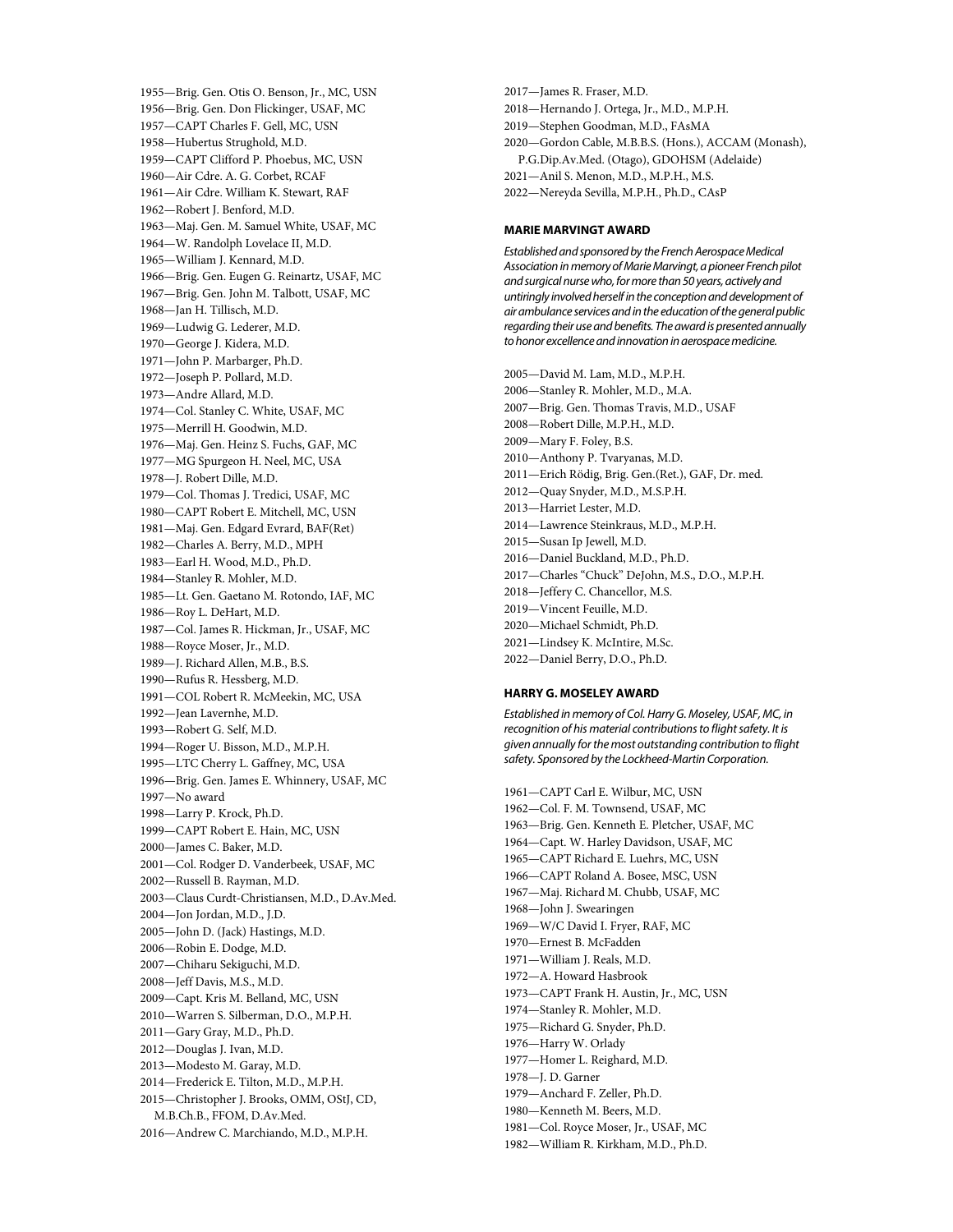1955—Brig. Gen. Otis O. Benson, Jr., MC, USN 1956—Brig. Gen. Don Flickinger, USAF, MC 1957—CAPT Charles F. Gell, MC, USN 1958—Hubertus Strughold, M.D. 1959—CAPT Clifford P. Phoebus, MC, USN 1960—Air Cdre. A. G. Corbet, RCAF 1961—Air Cdre. William K. Stewart, RAF 1962—Robert J. Benford, M.D. 1963—Maj. Gen. M. Samuel White, USAF, MC 1964—W. Randolph Lovelace II, M.D. 1965—William J. Kennard, M.D. 1966—Brig. Gen. Eugen G. Reinartz, USAF, MC 1967—Brig. Gen. John M. Talbott, USAF, MC 1968—Jan H. Tillisch, M.D. 1969—Ludwig G. Lederer, M.D. 1970—George J. Kidera, M.D. 1971—John P. Marbarger, Ph.D. 1972—Joseph P. Pollard, M.D. 1973—Andre Allard, M.D. 1974—Col. Stanley C. White, USAF, MC 1975—Merrill H. Goodwin, M.D. 1976—Maj. Gen. Heinz S. Fuchs, GAF, MC 1977—MG Spurgeon H. Neel, MC, USA 1978—J. Robert Dille, M.D. 1979—Col. Thomas J. Tredici, USAF, MC 1980—CAPT Robert E. Mitchell, MC, USN 1981—Maj. Gen. Edgard Evrard, BAF(Ret) 1982—Charles A. Berry, M.D., MPH 1983—Earl H. Wood, M.D., Ph.D. 1984—Stanley R. Mohler, M.D. 1985—Lt. Gen. Gaetano M. Rotondo, IAF, MC 1986—Roy L. DeHart, M.D. 1987—Col. James R. Hickman, Jr., USAF, MC 1988—Royce Moser, Jr., M.D. 1989—J. Richard Allen, M.B., B.S. 1990—Rufus R. Hessberg, M.D. 1991—COL Robert R. McMeekin, MC, USA 1992—Jean Lavernhe, M.D. 1993—Robert G. Self, M.D. 1994—Roger U. Bisson, M.D., M.P.H. 1995—LTC Cherry L. Gaffney, MC, USA 1996—Brig. Gen. James E. Whinnery, USAF, MC 1997—No award 1998—Larry P. Krock, Ph.D. 1999—CAPT Robert E. Hain, MC, USN 2000—James C. Baker, M.D. 2001—Col. Rodger D. Vanderbeek, USAF, MC 2002—Russell B. Rayman, M.D. 2003—Claus Curdt-Christiansen, M.D., D.Av.Med. 2004—Jon Jordan, M.D., J.D. 2005—John D. (Jack) Hastings, M.D. 2006—Robin E. Dodge, M.D. 2007—Chiharu Sekiguchi, M.D. 2008—Jeff Davis, M.S., M.D. 2009—Capt. Kris M. Belland, MC, USN 2010—Warren S. Silberman, D.O., M.P.H. 2011—Gary Gray, M.D., Ph.D. 2012—Douglas J. Ivan, M.D. 2013—Modesto M. Garay, M.D. 2014—Frederick E. Tilton, M.D., M.P.H. 2015—Christopher J. Brooks, OMM, OStJ, CD, M.B.Ch.B., FFOM, D.Av.Med. 2016—Andrew C. Marchiando, M.D., M.P.H.

2017—James R. Fraser, M.D. 2018—Hernando J. Ortega, Jr., M.D., M.P.H. 2019—Stephen Goodman, M.D., FAsMA 2020—Gordon Cable, M.B.B.S. (Hons.), ACCAM (Monash), P.G.Dip.Av.Med. (Otago), GDOHSM (Adelaide) 2021—Anil S. Menon, M.D., M.P.H., M.S. 2022—Nereyda Sevilla, M.P.H., Ph.D., CAsP

### **MARIE MARVINGT AWARD**

*Established and sponsored by the French Aerospace Medical Association in memory of Marie Marvingt, a pioneer French pilot and surgical nurse who, for more than 50 years, actively and untiringly involved herself in the conception and development of air ambulance services and in the education of the general public regarding their use and benefits. The award is presented annually to honor excellence and innovation in aerospace medicine.*

2005—David M. Lam, M.D., M.P.H. 2006—Stanley R. Mohler, M.D., M.A. 2007—Brig. Gen. Thomas Travis, M.D., USAF 2008—Robert Dille, M.P.H., M.D. 2009—Mary F. Foley, B.S. 2010—Anthony P. Tvaryanas, M.D. 2011—Erich Rödig, Brig. Gen.(Ret.), GAF, Dr. med. 2012—Quay Snyder, M.D., M.S.P.H. 2013—Harriet Lester, M.D. 2014—Lawrence Steinkraus, M.D., M.P.H. 2015—Susan Ip Jewell, M.D. 2016—Daniel Buckland, M.D., Ph.D. 2017—Charles "Chuck" DeJohn, M.S., D.O., M.P.H. 2018—Jeffery C. Chancellor, M.S. 2019—Vincent Feuille, M.D. 2020—Michael Schmidt, Ph.D. 2021—Lindsey K. McIntire, M.Sc. 2022—Daniel Berry, D.O., Ph.D.

#### **HARRY G. MOSELEY AWARD**

*Established in memory of Col. Harry G. Moseley, USAF, MC, in recognition of his material contributions to flight safety. It is given annually for the most outstanding contribution to flight safety. Sponsored by the Lockheed-Martin Corporation.*

1961—CAPT Carl E. Wilbur, MC, USN 1962—Col. F. M. Townsend, USAF, MC 1963—Brig. Gen. Kenneth E. Pletcher, USAF, MC 1964—Capt. W. Harley Davidson, USAF, MC 1965—CAPT Richard E. Luehrs, MC, USN 1966—CAPT Roland A. Bosee, MSC, USN 1967—Maj. Richard M. Chubb, USAF, MC 1968—John J. Swearingen 1969—W/C David I. Fryer, RAF, MC 1970—Ernest B. McFadden 1971—William J. Reals, M.D. 1972—A. Howard Hasbrook 1973—CAPT Frank H. Austin, Jr., MC, USN 1974—Stanley R. Mohler, M.D. 1975—Richard G. Snyder, Ph.D. 1976—Harry W. Orlady 1977—Homer L. Reighard, M.D. 1978—J. D. Garner 1979—Anchard F. Zeller, Ph.D. 1980—Kenneth M. Beers, M.D. 1981—Col. Royce Moser, Jr., USAF, MC 1982—William R. Kirkham, M.D., Ph.D.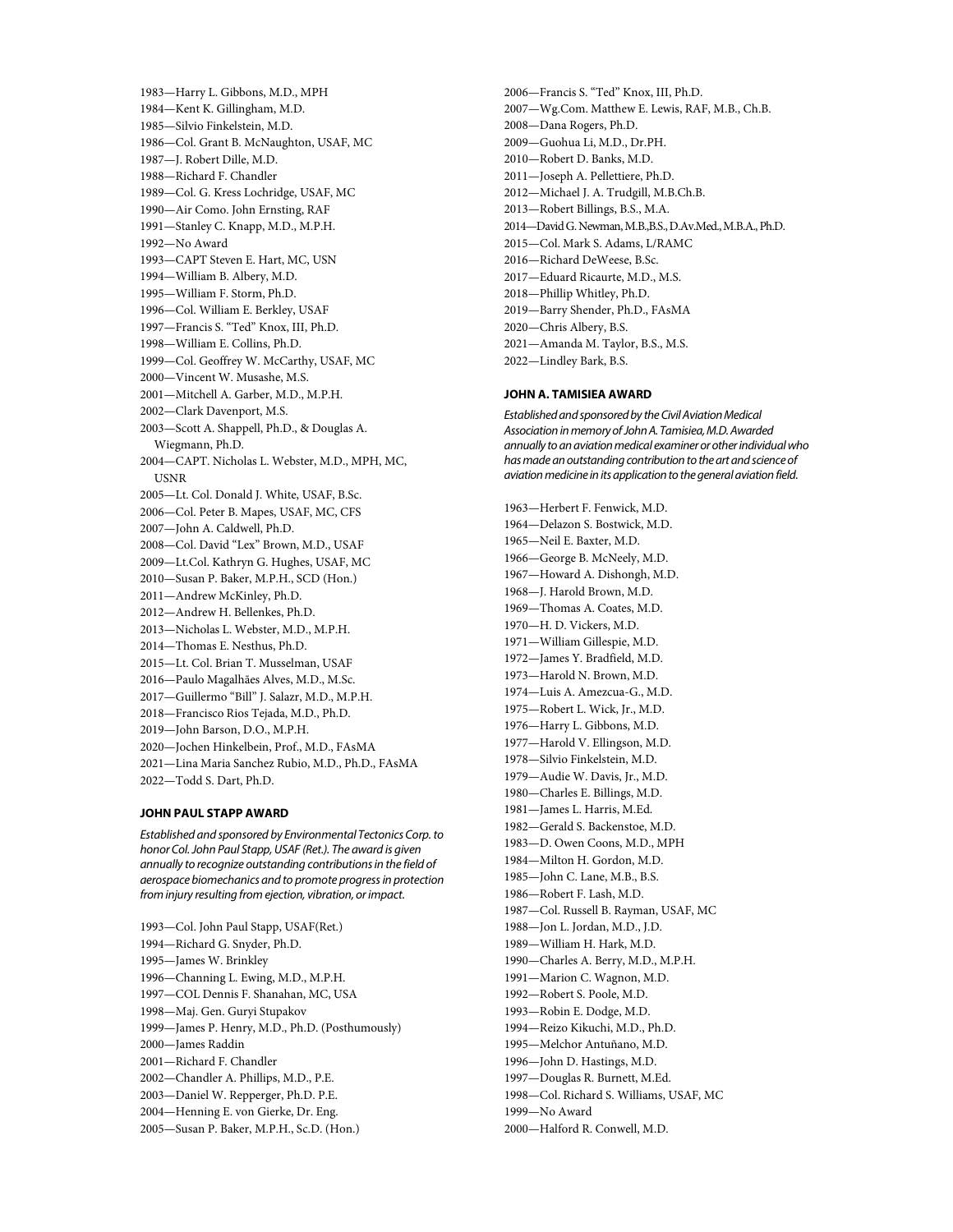1983—Harry L. Gibbons, M.D., MPH 1984—Kent K. Gillingham, M.D. 1985—Silvio Finkelstein, M.D. 1986—Col. Grant B. McNaughton, USAF, MC 1987—J. Robert Dille, M.D. 1988—Richard F. Chandler 1989—Col. G. Kress Lochridge, USAF, MC 1990—Air Como. John Ernsting, RAF 1991—Stanley C. Knapp, M.D., M.P.H. 1992—No Award 1993—CAPT Steven E. Hart, MC, USN 1994—William B. Albery, M.D. 1995—William F. Storm, Ph.D. 1996—Col. William E. Berkley, USAF 1997—Francis S. "Ted" Knox, III, Ph.D. 1998—William E. Collins, Ph.D. 1999—Col. Geoffrey W. McCarthy, USAF, MC 2000—Vincent W. Musashe, M.S. 2001—Mitchell A. Garber, M.D., M.P.H. 2002—Clark Davenport, M.S. 2003—Scott A. Shappell, Ph.D., & Douglas A. Wiegmann, Ph.D. 2004—CAPT. Nicholas L. Webster, M.D., MPH, MC, USNR 2005—Lt. Col. Donald J. White, USAF, B.Sc. 2006—Col. Peter B. Mapes, USAF, MC, CFS 2007—John A. Caldwell, Ph.D. 2008—Col. David "Lex" Brown, M.D., USAF 2009—Lt.Col. Kathryn G. Hughes, USAF, MC 2010—Susan P. Baker, M.P.H., SCD (Hon.) 2011—Andrew McKinley, Ph.D. 2012—Andrew H. Bellenkes, Ph.D. 2013—Nicholas L. Webster, M.D., M.P.H. 2014—Thomas E. Nesthus, Ph.D. 2015—Lt. Col. Brian T. Musselman, USAF 2016—Paulo Magalhães Alves, M.D., M.Sc. 2017—Guillermo "Bill" J. Salazr, M.D., M.P.H. 2018—Francisco Rios Tejada, M.D., Ph.D. 2019—John Barson, D.O., M.P.H. 2020—Jochen Hinkelbein, Prof., M.D., FAsMA 2021—Lina Maria Sanchez Rubio, M.D., Ph.D., FAsMA 2022—Todd S. Dart, Ph.D.

## **JOHN PAUL STAPP AWARD**

*Established and sponsored by Environmental Tectonics Corp. to honor Col. John Paul Stapp, USAF (Ret.). The award is given annually to recognize outstanding contributions in the field of aerospace biomechanics and to promote progress in protection from injury resulting from ejection, vibration, or impact.*

1993—Col. John Paul Stapp, USAF(Ret.) 1994—Richard G. Snyder, Ph.D. 1995—James W. Brinkley 1996—Channing L. Ewing, M.D., M.P.H. 1997—COL Dennis F. Shanahan, MC, USA 1998—Maj. Gen. Guryi Stupakov 1999—James P. Henry, M.D., Ph.D. (Posthumously) 2000—James Raddin 2001—Richard F. Chandler 2002—Chandler A. Phillips, M.D., P.E. 2003—Daniel W. Repperger, Ph.D. P.E. 2004—Henning E. von Gierke, Dr. Eng. 2005—Susan P. Baker, M.P.H., Sc.D. (Hon.)

2006—Francis S. "Ted" Knox, III, Ph.D. 2007—Wg.Com. Matthew E. Lewis, RAF, M.B., Ch.B. 2008—Dana Rogers, Ph.D. 2009—Guohua Li, M.D., Dr.PH. 2010—Robert D. Banks, M.D. 2011—Joseph A. Pellettiere, Ph.D. 2012—Michael J. A. Trudgill, M.B.Ch.B. 2013—Robert Billings, B.S., M.A. 2014—David G. Newman, M.B.,B.S., D.Av.Med., M.B.A., Ph.D. 2015—Col. Mark S. Adams, L/RAMC 2016—Richard DeWeese, B.Sc. 2017—Eduard Ricaurte, M.D., M.S. 2018—Phillip Whitley, Ph.D. 2019—Barry Shender, Ph.D., FAsMA 2020—Chris Albery, B.S. 2021—Amanda M. Taylor, B.S., M.S. 2022—Lindley Bark, B.S.

#### **JOHN A. TAMISIEA AWARD**

*Established and sponsored by the Civil Aviation Medical Association in memory of John A. Tamisiea, M.D. Awarded annually to an aviation medical examiner or other individual who has made an outstanding contribution to the art and science of aviation medicine in its application to the general aviation field.*

1963—Herbert F. Fenwick, M.D. 1964—Delazon S. Bostwick, M.D. 1965—Neil E. Baxter, M.D. 1966—George B. McNeely, M.D. 1967—Howard A. Dishongh, M.D. 1968—J. Harold Brown, M.D. 1969—Thomas A. Coates, M.D. 1970—H. D. Vickers, M.D. 1971—William Gillespie, M.D. 1972—James Y. Bradfield, M.D. 1973—Harold N. Brown, M.D. 1974—Luis A. Amezcua-G., M.D. 1975—Robert L. Wick, Jr., M.D. 1976—Harry L. Gibbons, M.D. 1977—Harold V. Ellingson, M.D. 1978—Silvio Finkelstein, M.D. 1979—Audie W. Davis, Jr., M.D. 1980—Charles E. Billings, M.D. 1981—James L. Harris, M.Ed. 1982—Gerald S. Backenstoe, M.D. 1983—D. Owen Coons, M.D., MPH 1984—Milton H. Gordon, M.D. 1985—John C. Lane, M.B., B.S. 1986—Robert F. Lash, M.D. 1987—Col. Russell B. Rayman, USAF, MC 1988—Jon L. Jordan, M.D., J.D. 1989—William H. Hark, M.D. 1990—Charles A. Berry, M.D., M.P.H. 1991—Marion C. Wagnon, M.D. 1992—Robert S. Poole, M.D. 1993—Robin E. Dodge, M.D. 1994—Reizo Kikuchi, M.D., Ph.D. 1995—Melchor Antuñano, M.D. 1996—John D. Hastings, M.D. 1997—Douglas R. Burnett, M.Ed. 1998—Col. Richard S. Williams, USAF, MC 1999—No Award 2000—Halford R. Conwell, M.D.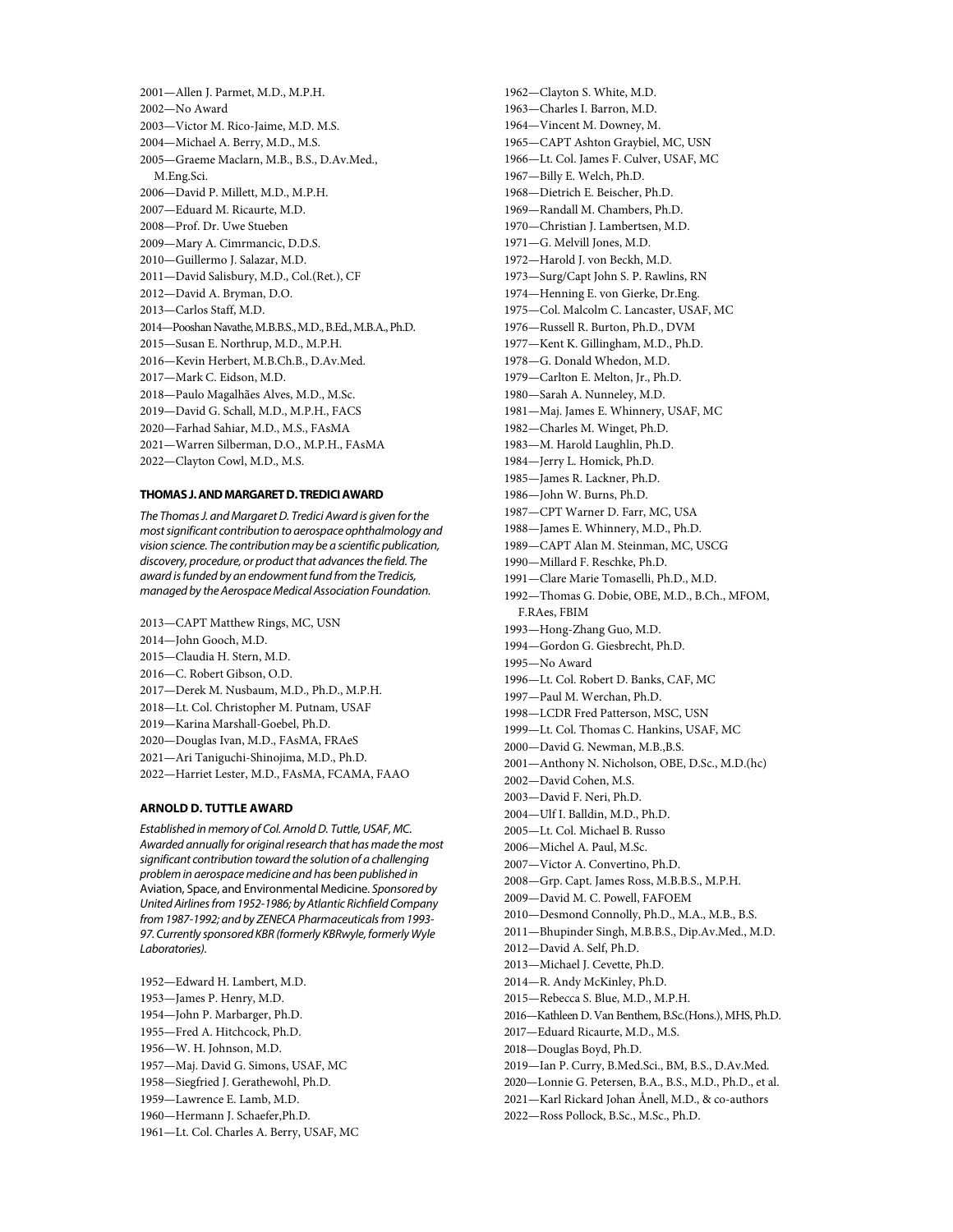2001—Allen J. Parmet, M.D., M.P.H. 2002—No Award 2003—Victor M. Rico-Jaime, M.D. M.S. 2004—Michael A. Berry, M.D., M.S. 2005—Graeme Maclarn, M.B., B.S., D.Av.Med., M.Eng.Sci. 2006—David P. Millett, M.D., M.P.H. 2007—Eduard M. Ricaurte, M.D. 2008—Prof. Dr. Uwe Stueben 2009—Mary A. Cimrmancic, D.D.S. 2010—Guillermo J. Salazar, M.D. 2011—David Salisbury, M.D., Col.(Ret.), CF 2012—David A. Bryman, D.O. 2013—Carlos Staff, M.D. 2014—Pooshan Navathe, M.B.B.S., M.D., B.Ed., M.B.A., Ph.D. 2015—Susan E. Northrup, M.D., M.P.H. 2016—Kevin Herbert, M.B.Ch.B., D.Av.Med. 2017—Mark C. Eidson, M.D. 2018—Paulo Magalhães Alves, M.D., M.Sc. 2019—David G. Schall, M.D., M.P.H., FACS 2020—Farhad Sahiar, M.D., M.S., FAsMA 2021—Warren Silberman, D.O., M.P.H., FAsMA 2022—Clayton Cowl, M.D., M.S.

#### **THOMAS J. AND MARGARET D. TREDICI AWARD**

*The Thomas J. and Margaret D. Tredici Award is given for the most significant contribution to aerospace ophthalmology and vision science. The contribution may be a scientific publication, discovery, procedure, or product that advances the field. The award is funded by an endowment fund from the Tredicis, managed by the Aerospace Medical Association Foundation.*

2013—CAPT Matthew Rings, MC, USN 2014—John Gooch, M.D. 2015—Claudia H. Stern, M.D. 2016—C. Robert Gibson, O.D. 2017—Derek M. Nusbaum, M.D., Ph.D., M.P.H. 2018—Lt. Col. Christopher M. Putnam, USAF 2019—Karina Marshall-Goebel, Ph.D. 2020—Douglas Ivan, M.D., FAsMA, FRAeS 2021—Ari Taniguchi-Shinojima, M.D., Ph.D. 2022—Harriet Lester, M.D., FAsMA, FCAMA, FAAO **ARNOLD D. TUTTLE AWARD**

*Established in memory of Col. Arnold D. Tuttle, USAF, MC. Awarded annually for original research that has made the most significant contribution toward the solution of a challenging problem in aerospace medicine and has been published in*  Aviation, Space, and Environmental Medicine*. Sponsored by United Airlines from 1952-1986; by Atlantic Richfield Company from 1987-1992; and by ZENECA Pharmaceuticals from 1993- 97. Currently sponsored KBR (formerly KBRwyle, formerly Wyle Laboratories).*

1952—Edward H. Lambert, M.D. 1953—James P. Henry, M.D. 1954—John P. Marbarger, Ph.D. 1955—Fred A. Hitchcock, Ph.D. 1956—W. H. Johnson, M.D. 1957—Maj. David G. Simons, USAF, MC 1958—Siegfried J. Gerathewohl, Ph.D. 1959—Lawrence E. Lamb, M.D. 1960—Hermann J. Schaefer,Ph.D. 1961—Lt. Col. Charles A. Berry, USAF, MC 1962—Clayton S. White, M.D. 1963—Charles I. Barron, M.D. 1964—Vincent M. Downey, M. 1965—CAPT Ashton Graybiel, MC, USN 1966—Lt. Col. James F. Culver, USAF, MC 1967—Billy E. Welch, Ph.D. 1968—Dietrich E. Beischer, Ph.D. 1969—Randall M. Chambers, Ph.D. 1970—Christian J. Lambertsen, M.D. 1971—G. Melvill Jones, M.D. 1972—Harold J. von Beckh, M.D. 1973—Surg/Capt John S. P. Rawlins, RN 1974—Henning E. von Gierke, Dr.Eng. 1975—Col. Malcolm C. Lancaster, USAF, MC 1976—Russell R. Burton, Ph.D., DVM 1977—Kent K. Gillingham, M.D., Ph.D. 1978—G. Donald Whedon, M.D. 1979—Carlton E. Melton, Jr., Ph.D. 1980—Sarah A. Nunneley, M.D. 1981—Maj. James E. Whinnery, USAF, MC 1982—Charles M. Winget, Ph.D. 1983—M. Harold Laughlin, Ph.D. 1984—Jerry L. Homick, Ph.D. 1985—James R. Lackner, Ph.D. 1986—John W. Burns, Ph.D. 1987—CPT Warner D. Farr, MC, USA 1988—James E. Whinnery, M.D., Ph.D. 1989—CAPT Alan M. Steinman, MC, USCG 1990—Millard F. Reschke, Ph.D. 1991—Clare Marie Tomaselli, Ph.D., M.D. 1992—Thomas G. Dobie, OBE, M.D., B.Ch., MFOM, F.RAes, FBIM 1993—Hong-Zhang Guo, M.D. 1994—Gordon G. Giesbrecht, Ph.D. 1995—No Award 1996—Lt. Col. Robert D. Banks, CAF, MC 1997—Paul M. Werchan, Ph.D. 1998—LCDR Fred Patterson, MSC, USN 1999—Lt. Col. Thomas C. Hankins, USAF, MC 2000—David G. Newman, M.B.,B.S. 2001—Anthony N. Nicholson, OBE, D.Sc., M.D.(hc) 2002—David Cohen, M.S. 2003—David F. Neri, Ph.D. 2004—Ulf I. Balldin, M.D., Ph.D. 2005—Lt. Col. Michael B. Russo 2006—Michel A. Paul, M.Sc. 2007—Victor A. Convertino, Ph.D. 2008—Grp. Capt. James Ross, M.B.B.S., M.P.H. 2009—David M. C. Powell, FAFOEM 2010—Desmond Connolly, Ph.D., M.A., M.B., B.S. 2011—Bhupinder Singh, M.B.B.S., Dip.Av.Med., M.D. 2012—David A. Self, Ph.D. 2013—Michael J. Cevette, Ph.D. 2014—R. Andy McKinley, Ph.D. 2015—Rebecca S. Blue, M.D., M.P.H. 2016—Kathleen D. Van Benthem, B.Sc.(Hons.), MHS, Ph.D. 2017—Eduard Ricaurte, M.D., M.S. 2018—Douglas Boyd, Ph.D. 2019—Ian P. Curry, B.Med.Sci., BM, B.S., D.Av.Med. 2020—Lonnie G. Petersen, B.A., B.S., M.D., Ph.D., et al. 2021—Karl Rickard Johan Ånell, M.D., & co-authors 2022—Ross Pollock, B.Sc., M.Sc., Ph.D.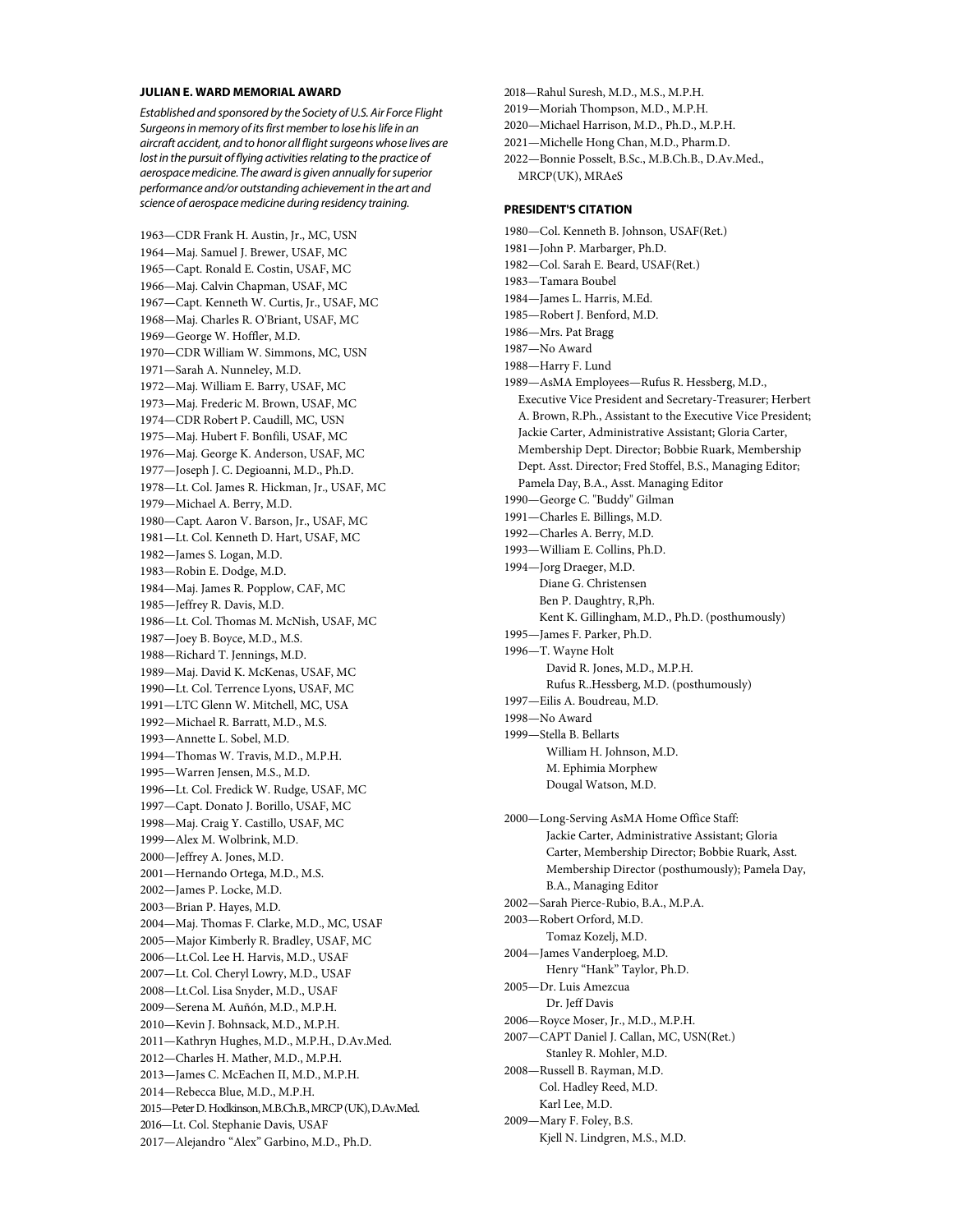#### **JULIAN E. WARD MEMORIAL AWARD**

*Established and sponsored by the Society of U.S. Air Force Flight Surgeons in memory of its first member to lose his life in an aircraft accident, and to honor all flight surgeons whose lives are lost in the pursuit of flying activities relating to the practice of aerospace medicine. The award is given annually for superior performance and/or outstanding achievement in the art and science of aerospace medicine during residency training.*

1963—CDR Frank H. Austin, Jr., MC, USN 1964—Maj. Samuel J. Brewer, USAF, MC 1965—Capt. Ronald E. Costin, USAF, MC 1966—Maj. Calvin Chapman, USAF, MC 1967—Capt. Kenneth W. Curtis, Jr., USAF, MC 1968—Maj. Charles R. O'Briant, USAF, MC 1969—George W. Hoffler, M.D. 1970—CDR William W. Simmons, MC, USN 1971—Sarah A. Nunneley, M.D. 1972—Maj. William E. Barry, USAF, MC 1973—Maj. Frederic M. Brown, USAF, MC 1974—CDR Robert P. Caudill, MC, USN 1975—Maj. Hubert F. Bonfili, USAF, MC 1976—Maj. George K. Anderson, USAF, MC 1977—Joseph J. C. Degioanni, M.D., Ph.D. 1978—Lt. Col. James R. Hickman, Jr., USAF, MC 1979—Michael A. Berry, M.D. 1980—Capt. Aaron V. Barson, Jr., USAF, MC 1981—Lt. Col. Kenneth D. Hart, USAF, MC 1982—James S. Logan, M.D. 1983—Robin E. Dodge, M.D. 1984—Maj. James R. Popplow, CAF, MC 1985—Jeffrey R. Davis, M.D. 1986—Lt. Col. Thomas M. McNish, USAF, MC 1987—Joey B. Boyce, M.D., M.S. 1988—Richard T. Jennings, M.D. 1989—Maj. David K. McKenas, USAF, MC 1990—Lt. Col. Terrence Lyons, USAF, MC 1991—LTC Glenn W. Mitchell, MC, USA 1992—Michael R. Barratt, M.D., M.S. 1993—Annette L. Sobel, M.D. 1994—Thomas W. Travis, M.D., M.P.H. 1995—Warren Jensen, M.S., M.D. 1996—Lt. Col. Fredick W. Rudge, USAF, MC 1997—Capt. Donato J. Borillo, USAF, MC 1998—Maj. Craig Y. Castillo, USAF, MC 1999—Alex M. Wolbrink, M.D. 2000—Jeffrey A. Jones, M.D. 2001—Hernando Ortega, M.D., M.S. 2002—James P. Locke, M.D. 2003—Brian P. Hayes, M.D. 2004—Maj. Thomas F. Clarke, M.D., MC, USAF 2005—Major Kimberly R. Bradley, USAF, MC 2006—Lt.Col. Lee H. Harvis, M.D., USAF 2007—Lt. Col. Cheryl Lowry, M.D., USAF 2008—Lt.Col. Lisa Snyder, M.D., USAF 2009—Serena M. Auñón, M.D., M.P.H. 2010—Kevin J. Bohnsack, M.D., M.P.H. 2011—Kathryn Hughes, M.D., M.P.H., D.Av.Med. 2012—Charles H. Mather, M.D., M.P.H. 2013—James C. McEachen II, M.D., M.P.H. 2014—Rebecca Blue, M.D., M.P.H. 2015—Peter D. Hodkinson, M.B.Ch.B., MRCP (UK), D.Av.Med. 2016—Lt. Col. Stephanie Davis, USAF 2017—Alejandro "Alex" Garbino, M.D., Ph.D.

2018—Rahul Suresh, M.D., M.S., M.P.H. 2019—Moriah Thompson, M.D., M.P.H. 2020—Michael Harrison, M.D., Ph.D., M.P.H. 2021—Michelle Hong Chan, M.D., Pharm.D. 2022—Bonnie Posselt, B.Sc., M.B.Ch.B., D.Av.Med., MRCP(UK), MRAeS

#### **PRESIDENT'S CITATION**

1980—Col. Kenneth B. Johnson, USAF(Ret.) 1981—John P. Marbarger, Ph.D. 1982—Col. Sarah E. Beard, USAF(Ret.) 1983—Tamara Boubel 1984—James L. Harris, M.Ed. 1985—Robert J. Benford, M.D. 1986—Mrs. Pat Bragg 1987—No Award 1988—Harry F. Lund 1989—AsMA Employees—Rufus R. Hessberg, M.D., Executive Vice President and Secretary-Treasurer; Herbert A. Brown, R.Ph., Assistant to the Executive Vice President; Jackie Carter, Administrative Assistant; Gloria Carter, Membership Dept. Director; Bobbie Ruark, Membership Dept. Asst. Director; Fred Stoffel, B.S., Managing Editor; Pamela Day, B.A., Asst. Managing Editor 1990—George C. "Buddy" Gilman 1991—Charles E. Billings, M.D. 1992—Charles A. Berry, M.D. 1993—William E. Collins, Ph.D. 1994—Jorg Draeger, M.D. Diane G. Christensen Ben P. Daughtry, R,Ph. Kent K. Gillingham, M.D., Ph.D. (posthumously) 1995—James F. Parker, Ph.D. 1996—T. Wayne Holt David R. Jones, M.D., M.P.H. Rufus R..Hessberg, M.D. (posthumously) 1997—Eilis A. Boudreau, M.D. 1998—No Award 1999—Stella B. Bellarts William H. Johnson, M.D. M. Ephimia Morphew Dougal Watson, M.D. 2000—Long-Serving AsMA Home Office Staff: Jackie Carter, Administrative Assistant; Gloria Carter, Membership Director; Bobbie Ruark, Asst. Membership Director (posthumously); Pamela Day, B.A., Managing Editor 2002—Sarah Pierce-Rubio, B.A., M.P.A. 2003—Robert Orford, M.D. Tomaz Kozelj, M.D. 2004—James Vanderploeg, M.D. Henry "Hank" Taylor, Ph.D. 2005—Dr. Luis Amezcua Dr. Jeff Davis 2006—Royce Moser, Jr., M.D., M.P.H. 2007—CAPT Daniel J. Callan, MC, USN(Ret.) Stanley R. Mohler, M.D. 2008—Russell B. Rayman, M.D. Col. Hadley Reed, M.D. Karl Lee, M.D. 2009—Mary F. Foley, B.S. Kjell N. Lindgren, M.S., M.D.